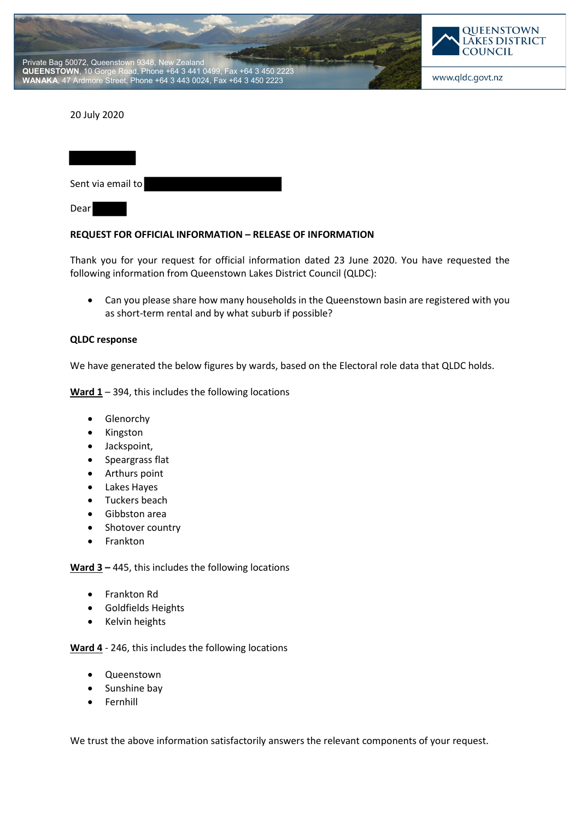



## 20 July 2020

| Sent via email to |  |
|-------------------|--|
| Dear              |  |

## **REQUEST FOR OFFICIAL INFORMATION – RELEASE OF INFORMATION**

Thank you for your request for official information dated 23 June 2020. You have requested the following information from Queenstown Lakes District Council (QLDC):

• Can you please share how many households in the Queenstown basin are registered with you as short-term rental and by what suburb if possible?

## **QLDC response**

We have generated the below figures by wards, based on the Electoral role data that QLDC holds.

**Ward 1** – 394, this includes the following locations

- Glenorchy
- Kingston
- Jackspoint,
- Speargrass flat
- Arthurs point
- Lakes Hayes
- Tuckers beach
- Gibbston area
- Shotover country
- Frankton

**Ward 3 –** 445, this includes the following locations

- Frankton Rd
- Goldfields Heights
- Kelvin heights

**Ward 4** - 246, this includes the following locations

- Queenstown
- Sunshine bay
- **Fernhill**

We trust the above information satisfactorily answers the relevant components of your request.